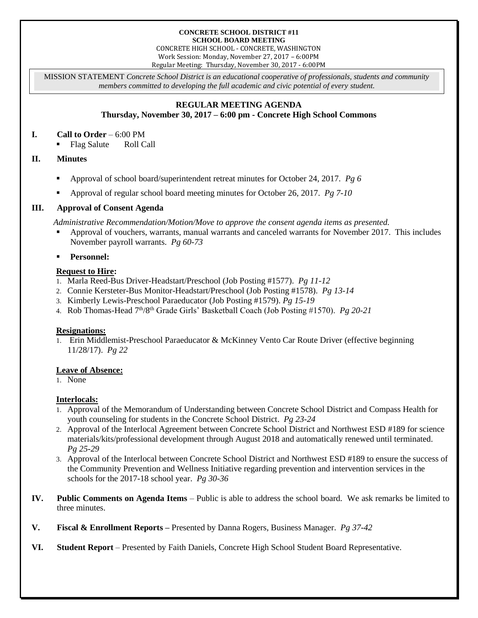#### **CONCRETE SCHOOL DISTRICT #11 SCHOOL BOARD MEETING**

CONCRETE HIGH SCHOOL - CONCRETE, WASHINGTON Work Session: Monday, November 27, 2017 – 6:00PM Regular Meeting: Thursday, November 30, 2017 - 6:00PM

MISSION STATEMENT *Concrete School District is an educational cooperative of professionals, students and community members committed to developing the full academic and civic potential of every student.*

# **REGULAR MEETING AGENDA**

**Thursday, November 30, 2017 – 6:00 pm - Concrete High School Commons**

# **I. Call to Order** – 6:00 PM

■ Flag Salute Roll Call

# **II. Minutes**

- Approval of school board/superintendent retreat minutes for October 24, 2017. *Pg 6*
- Approval of regular school board meeting minutes for October 26, 2017. *Pg 7-10*

# **III. Approval of Consent Agenda**

*Administrative Recommendation/Motion/Move to approve the consent agenda items as presented.*

- Approval of vouchers, warrants, manual warrants and canceled warrants for November 2017. This includes November payroll warrants. *Pg 60-73*
- **Personnel:**

# **Request to Hire:**

- 1. Marla Reed-Bus Driver-Headstart/Preschool (Job Posting #1577). *Pg 11-12*
- 2. Connie Kersteter-Bus Monitor-Headstart/Preschool (Job Posting #1578). *Pg 13-14*
- 3. Kimberly Lewis-Preschool Paraeducator (Job Posting #1579). *Pg 15-19*
- 4. Rob Thomas-Head 7th/8th Grade Girls' Basketball Coach (Job Posting #1570). *Pg 20-21*

#### **Resignations:**

1. Erin Middlemist-Preschool Paraeducator & McKinney Vento Car Route Driver (effective beginning 11/28/17). *Pg 22*

#### **Leave of Absence:**

1. None

#### **Interlocals:**

- 1. Approval of the Memorandum of Understanding between Concrete School District and Compass Health for youth counseling for students in the Concrete School District. *Pg 23-24*
- 2. Approval of the Interlocal Agreement between Concrete School District and Northwest ESD #189 for science materials/kits/professional development through August 2018 and automatically renewed until terminated. *Pg 25-29*
- 3. Approval of the Interlocal between Concrete School District and Northwest ESD #189 to ensure the success of the Community Prevention and Wellness Initiative regarding prevention and intervention services in the schools for the 2017-18 school year. *Pg 30-36*
- **IV. Public Comments on Agenda Items** Public is able to address the school board. We ask remarks be limited to three minutes.
- **V. Fiscal & Enrollment Reports –** Presented by Danna Rogers, Business Manager. *Pg 37-42*
- **VI. Student Report** Presented by Faith Daniels, Concrete High School Student Board Representative.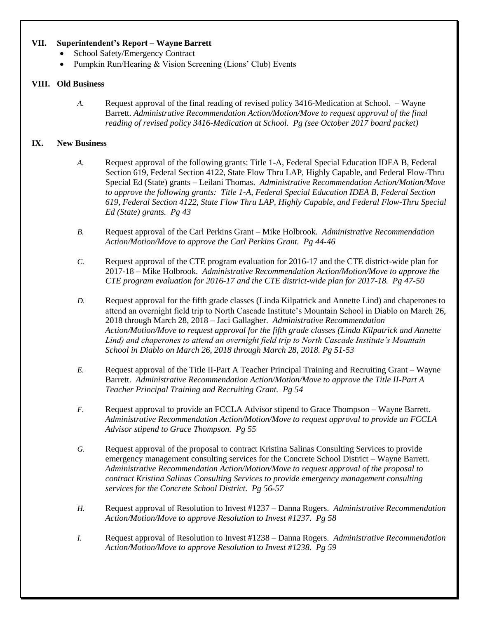#### **VII. Superintendent's Report – Wayne Barrett**

- School Safety/Emergency Contract
- Pumpkin Run/Hearing & Vision Screening (Lions' Club) Events

#### **VIII. Old Business**

*A.* Request approval of the final reading of revised policy 3416-Medication at School. – Wayne Barrett. *Administrative Recommendation Action/Motion/Move to request approval of the final reading of revised policy 3416-Medication at School. Pg (see October 2017 board packet)*

#### **IX. New Business**

- *A.* Request approval of the following grants: Title 1-A, Federal Special Education IDEA B, Federal Section 619, Federal Section 4122, State Flow Thru LAP, Highly Capable, and Federal Flow-Thru Special Ed (State) grants – Leilani Thomas. *Administrative Recommendation Action/Motion/Move to approve the following grants: Title 1-A, Federal Special Education IDEA B, Federal Section 619, Federal Section 4122, State Flow Thru LAP, Highly Capable, and Federal Flow-Thru Special Ed (State) grants. Pg 43*
- *B.* Request approval of the Carl Perkins Grant Mike Holbrook. *Administrative Recommendation Action/Motion/Move to approve the Carl Perkins Grant. Pg 44-46*
- *C.* Request approval of the CTE program evaluation for 2016-17 and the CTE district-wide plan for 2017-18 – Mike Holbrook. *Administrative Recommendation Action/Motion/Move to approve the CTE program evaluation for 2016-17 and the CTE district-wide plan for 2017-18. Pg 47-50*
- *D.* Request approval for the fifth grade classes (Linda Kilpatrick and Annette Lind) and chaperones to attend an overnight field trip to North Cascade Institute's Mountain School in Diablo on March 26, 2018 through March 28, 2018 – Jaci Gallagher. *Administrative Recommendation Action/Motion/Move to request approval for the fifth grade classes (Linda Kilpatrick and Annette Lind) and chaperones to attend an overnight field trip to North Cascade Institute's Mountain School in Diablo on March 26, 2018 through March 28, 2018. Pg 51-53*
- *E.* Request approval of the Title II-Part A Teacher Principal Training and Recruiting Grant Wayne Barrett. *Administrative Recommendation Action/Motion/Move to approve the Title II-Part A Teacher Principal Training and Recruiting Grant. Pg 54*
- *F.* Request approval to provide an FCCLA Advisor stipend to Grace Thompson Wayne Barrett. *Administrative Recommendation Action/Motion/Move to request approval to provide an FCCLA Advisor stipend to Grace Thompson. Pg 55*
- *G.* Request approval of the proposal to contract Kristina Salinas Consulting Services to provide emergency management consulting services for the Concrete School District – Wayne Barrett. *Administrative Recommendation Action/Motion/Move to request approval of the proposal to contract Kristina Salinas Consulting Services to provide emergency management consulting services for the Concrete School District. Pg 56-57*
- *H.* Request approval of Resolution to Invest #1237 Danna Rogers. *Administrative Recommendation Action/Motion/Move to approve Resolution to Invest #1237. Pg 58*
- *I.* Request approval of Resolution to Invest #1238 Danna Rogers. *Administrative Recommendation Action/Motion/Move to approve Resolution to Invest #1238. Pg 59*